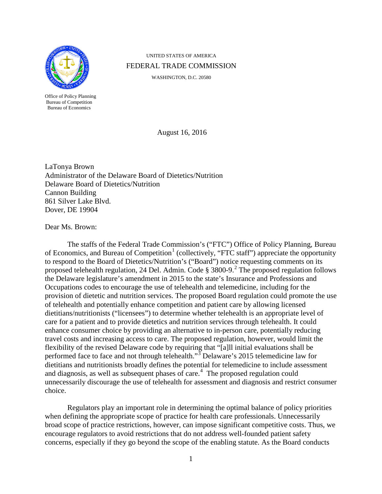

Office of Policy Planning Bureau of Competition Bureau of Economics

UNITED STATES OF AMERICA FEDERAL TRADE COMMISSION

WASHINGTON, D.C. 20580

<span id="page-0-0"></span>August 16, 2016

LaTonya Brown Administrator of the Delaware Board of Dietetics/Nutrition Delaware Board of Dietetics/Nutrition Cannon Building 861 Silver Lake Blvd. Dover, DE 19904

Dear Ms. Brown:

The staffs of the Federal Trade Commission's ("FTC") Office of Policy Planning, Bureau of Economics, and Bureau of Competition<sup>[1](#page-5-0)</sup> (collectively, "FTC staff") appreciate the opportunity to respond to the Board of Dietetics/Nutrition's ("Board") notice requesting comments on its proposed telehealth regulation, [2](#page-5-1)4 Del. Admin. Code  $\S 3800-9$ .<sup>2</sup> The proposed regulation follows the Delaware legislature's amendment in 2015 to the state's Insurance and Professions and Occupations codes to encourage the use of telehealth and telemedicine, including for the provision of dietetic and nutrition services. The proposed Board regulation could promote the use of telehealth and potentially enhance competition and patient care by allowing licensed dietitians/nutritionists ("licensees") to determine whether telehealth is an appropriate level of care for a patient and to provide dietetics and nutrition services through telehealth. It could enhance consumer choice by providing an alternative to in-person care, potentially reducing travel costs and increasing access to care. The proposed regulation, however, would limit the flexibility of the revised Delaware code by requiring that "[a]ll initial evaluations shall be performed face to face and not through telehealth."<sup>[3](#page-5-2)</sup> Delaware's 2015 telemedicine law for dietitians and nutritionists broadly defines the potential for telemedicine to include assessment and diagnosis, as well as subsequent phases of care. [4](#page-5-3) The proposed regulation could unnecessarily discourage the use of telehealth for assessment and diagnosis and restrict consumer choice.

Regulators play an important role in determining the optimal balance of policy priorities when defining the appropriate scope of practice for health care professionals. Unnecessarily broad scope of practice restrictions, however, can impose significant competitive costs. Thus, we encourage regulators to avoid restrictions that do not address well-founded patient safety concerns, especially if they go beyond the scope of the enabling statute. As the Board conducts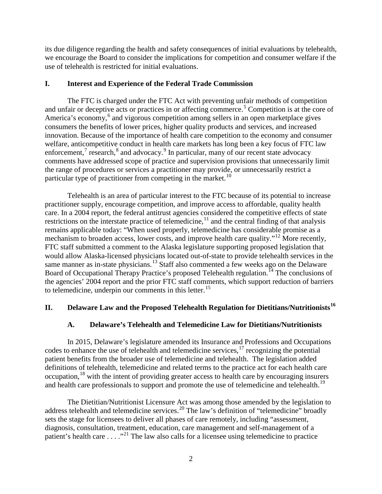its due diligence regarding the health and safety consequences of initial evaluations by telehealth, we encourage the Board to consider the implications for competition and consumer welfare if the use of telehealth is restricted for initial evaluations.

#### **I. Interest and Experience of the Federal Trade Commission**

The FTC is charged under the FTC Act with preventing unfair methods of competition and unfair or deceptive acts or practices in or affecting commerce.<sup>[5](#page-6-0)</sup> Competition is at the core of America's economy,<sup>[6](#page-6-1)</sup> and vigorous competition among sellers in an open marketplace gives consumers the benefits of lower prices, higher quality products and services, and increased innovation. Because of the importance of health care competition to the economy and consumer welfare, anticompetitive conduct in health care markets has long been a key focus of FTC law enforcement,<sup>[7](#page-6-2)</sup> research,<sup>[8](#page-6-3)</sup> and advocacy.<sup>[9](#page-6-4)</sup> In particular, many of our recent state advocacy comments have addressed scope of practice and supervision provisions that unnecessarily limit the range of procedures or services a practitioner may provide, or unnecessarily restrict a particular type of practitioner from competing in the market.<sup>10</sup>

<span id="page-1-2"></span><span id="page-1-1"></span><span id="page-1-0"></span>Telehealth is an area of particular interest to the FTC because of its potential to increase practitioner supply, encourage competition, and improve access to affordable, quality health care. In a 2004 report, the federal antitrust agencies considered the competitive effects of state restrictions on the interstate practice of telemedicine,<sup>[11](#page-6-6)</sup> and the central finding of that analysis remains applicable today: "When used properly, telemedicine has considerable promise as a mechanism to broaden access, lower costs, and improve health care quality."<sup>[12](#page-6-7)</sup> More recently, FTC staff submitted a comment to the Alaska legislature supporting proposed legislation that would allow Alaska-licensed physicians located out-of-state to provide telehealth services in the same manner as in-state physicians.<sup>[13](#page-6-8)</sup> Staff also commented a few weeks ago on the Delaware Board of Occupational Therapy Practice's proposed Telehealth regulation.<sup>14</sup> The conclusions of the agencies' 2004 report and the prior FTC staff comments, which support reduction of barriers to telemedicine, underpin our comments in this letter.<sup>[15](#page-6-10)</sup>

# **II. Delaware Law and the Proposed Telehealth Regulation for Dietitians/Nutritionists[16](#page-6-11)**

### <span id="page-1-5"></span><span id="page-1-4"></span>**A. Delaware's Telehealth and Telemedicine Law for Dietitians/Nutritionists**

 In 2015, Delaware's legislature amended its Insurance and Professions and Occupations codes to enhance the use of telehealth and telemedicine services,<sup>[17](#page-6-12)</sup> recognizing the potential patient benefits from the broader use of telemedicine and telehealth. The legislation added definitions of telehealth, telemedicine and related terms to the practice act for each health care occupation, $18$  with the intent of providing greater access to health care by encouraging insurers and health care professionals to support and promote the use of telemedicine and telehealth.<sup>[19](#page-6-14)</sup>

<span id="page-1-3"></span>The Dietitian/Nutritionist Licensure Act was among those amended by the legislation to address telehealth and telemedicine services.<sup>[20](#page-6-15)</sup> The law's definition of "telemedicine" broadly sets the stage for licensees to deliver all phases of care remotely, including "assessment, diagnosis, consultation, treatment, education, care management and self-management of a patient's health care . . . ."[21](#page-6-16) The law also calls for a licensee using telemedicine to practice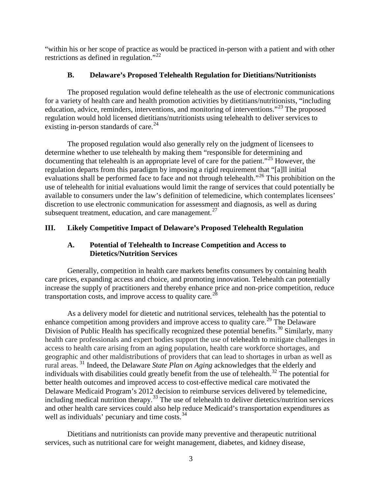"within his or her scope of practice as would be practiced in-person with a patient and with other restrictions as defined in regulation."<sup>[22](#page-7-0)</sup>

## <span id="page-2-3"></span><span id="page-2-0"></span>**B. Delaware's Proposed Telehealth Regulation for Dietitians/Nutritionists**

The proposed regulation would define telehealth as the use of electronic communications for a variety of health care and health promotion activities by dietitians/nutritionists, "including education, advice, reminders, interventions, and monitoring of interventions."<sup>23</sup> The proposed regulation would hold licensed dietitians/nutritionists using telehealth to deliver services to existing in-person standards of care. $^{24}$  $^{24}$  $^{24}$ 

The proposed regulation would also generally rely on the judgment of licensees to determine whether to use telehealth by making them "responsible for determining and documenting that telehealth is an appropriate level of care for the patient."<sup>25</sup> However, the regulation departs from this paradigm by imposing a rigid requirement that "[a]ll initial evaluations shall be performed face to face and not through telehealth."<sup>[26](#page-7-4)</sup> This prohibition on the use of telehealth for initial evaluations would limit the range of services that could potentially be available to consumers under the law's definition of telemedicine, which contemplates licensees' discretion to use electronic communication for assessment and diagnosis, as well as during subsequent treatment, education, and care management. $27$ 

# **III. Likely Competitive Impact of Delaware's Proposed Telehealth Regulation**

## <span id="page-2-5"></span><span id="page-2-4"></span><span id="page-2-1"></span>**A. Potential of Telehealth to Increase Competition and Access to Dietetics/Nutrition Services**

Generally, competition in health care markets benefits consumers by containing health care prices, expanding access and choice, and promoting innovation. Telehealth can potentially increase the supply of practitioners and thereby enhance price and non-price competition, reduce transportation costs, and improve access to quality care*.* [28](#page-7-6)

<span id="page-2-6"></span>As a delivery model for dietetic and nutritional services, telehealth has the potential to enhance competition among providers and improve access to quality care.<sup>[29](#page-7-7)</sup> The Delaware Division of Public Health has specifically recognized these potential benefits.<sup>[30](#page-7-8)</sup> Similarly, many health care professionals and expert bodies support the use of telehealth to mitigate challenges in access to health care arising from an aging population, health care workforce shortages, and geographic and other maldistributions of providers that can lead to shortages in urban as well as rural areas. [31](#page-7-9) Indeed, the Delaware *State Plan on Aging* acknowledges that the elderly and individuals with disabilities could greatly benefit from the use of telehealth.<sup>[32](#page-7-10)</sup> The potential for better health outcomes and improved access to cost-effective medical care motivated the Delaware Medicaid Program's 2012 decision to reimburse services delivered by telemedicine, including medical nutrition therapy.[33](#page-7-11) The use of telehealth to deliver dietetics/nutrition services and other health care services could also help reduce Medicaid's transportation expenditures as well as individuals' pecuniary and time costs.<sup>[34](#page-7-12)</sup>

<span id="page-2-2"></span>Dietitians and nutritionists can provide many preventive and therapeutic nutritional services, such as nutritional care for weight management, diabetes, and kidney disease,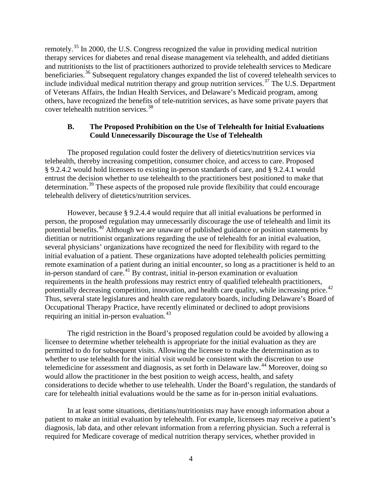remotely.[35](#page-8-0) In 2000, the U.S. Congress recognized the value in providing medical nutrition therapy services for diabetes and renal disease management via telehealth, and added dietitians and nutritionists to the list of practitioners authorized to provide telehealth services to Medicare beneficiaries.<sup>[36](#page-8-1)</sup> Subsequent regulatory changes expanded the list of covered telehealth services to include individual medical nutrition therapy and group nutrition services.<sup>[37](#page-8-2)</sup> The U.S. Department of Veterans Affairs, the Indian Health Services, and Delaware's Medicaid program, among others, have recognized the benefits of tele-nutrition services, as have some private payers that cover telehealth nutrition services.<sup>[38](#page-8-3)</sup>

### **B. The Proposed Prohibition on the Use of Telehealth for Initial Evaluations Could Unnecessarily Discourage the Use of Telehealth**

The proposed regulation could foster the delivery of dietetics/nutrition services via telehealth, thereby increasing competition, consumer choice, and access to care. Proposed § 9.2.4.2 would hold licensees to existing in-person standards of care, and § 9.2.4.1 would entrust the decision whether to use telehealth to the practitioners best positioned to make that determination.<sup>[39](#page-8-4)</sup> These aspects of the proposed rule provide flexibility that could encourage telehealth delivery of dietetics/nutrition services.

However, because § 9.2.4.4 would require that all initial evaluations be performed in person, the proposed regulation may unnecessarily discourage the use of telehealth and limit its potential benefits.[40](#page-8-5) Although we are unaware of published guidance or position statements by dietitian or nutritionist organizations regarding the use of telehealth for an initial evaluation, several physicians' organizations have recognized the need for flexibility with regard to the initial evaluation of a patient. These organizations have adopted telehealth policies permitting remote examination of a patient during an initial encounter, so long as a practitioner is held to an in-person standard of care.<sup>[41](#page-8-6)</sup> By contrast, initial in-person examination or evaluation requirements in the health professions may restrict entry of qualified telehealth practitioners, potentially decreasing competition, innovation, and health care quality, while increasing price.<sup>[42](#page-8-7)</sup> Thus, several state legislatures and health care regulatory boards, including Delaware's Board of Occupational Therapy Practice, have recently eliminated or declined to adopt provisions requiring an initial in-person evaluation.<sup>[43](#page-8-8)</sup>

The rigid restriction in the Board's proposed regulation could be avoided by allowing a licensee to determine whether telehealth is appropriate for the initial evaluation as they are permitted to do for subsequent visits. Allowing the licensee to make the determination as to whether to use telehealth for the initial visit would be consistent with the discretion to use telemedicine for assessment and diagnosis, as set forth in Delaware law.<sup>[44](#page-8-9)</sup> Moreover, doing so would allow the practitioner in the best position to weigh access, health, and safety considerations to decide whether to use telehealth. Under the Board's regulation, the standards of care for telehealth initial evaluations would be the same as for in-person initial evaluations.

In at least some situations, dietitians/nutritionists may have enough information about a patient to make an initial evaluation by telehealth. For example, licensees may receive a patient's diagnosis, lab data, and other relevant information from a referring physician. Such a referral is required for Medicare coverage of medical nutrition therapy services, whether provided in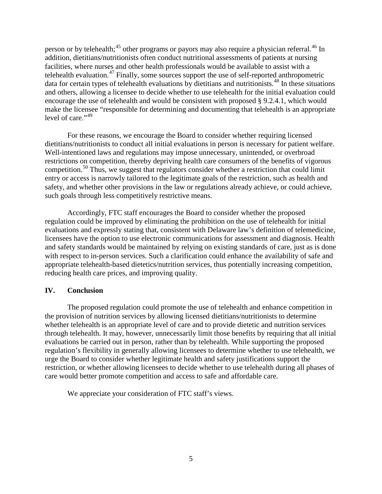person or by telehealth;<sup>[45](#page-9-0)</sup> other programs or payors may also require a physician referral.<sup>[46](#page-9-1)</sup> In addition, dietitians/nutritionists often conduct nutritional assessments of patients at nursing facilities, where nurses and other health professionals would be available to assist with a telehealth evaluation.<sup>[47](#page-9-2)</sup> Finally, some sources support the use of self-reported anthropometric data for certain types of telehealth evaluations by dietitians and nutritionists.<sup>[48](#page-9-3)</sup> In these situations and others, allowing a licensee to decide whether to use telehealth for the initial evaluation could encourage the use of telehealth and would be consistent with proposed § 9.2.4.1, which would make the licensee "responsible for determining and documenting that telehealth is an appropriate level of care."<sup>[49](#page-9-4)</sup>

For these reasons, we encourage the Board to consider whether requiring licensed dietitians/nutritionists to conduct all initial evaluations in person is necessary for patient welfare. Well-intentioned laws and regulations may impose unnecessary, unintended, or overbroad restrictions on competition, thereby depriving health care consumers of the benefits of vigorous competition.<sup>[50](#page-9-5)</sup> Thus, we suggest that regulators consider whether a restriction that could limit entry or access is narrowly tailored to the legitimate goals of the restriction, such as health and safety, and whether other provisions in the law or regulations already achieve, or could achieve, such goals through less competitively restrictive means.

Accordingly, FTC staff encourages the Board to consider whether the proposed regulation could be improved by eliminating the prohibition on the use of telehealth for initial evaluations and expressly stating that, consistent with Delaware law's definition of telemedicine, licensees have the option to use electronic communications for assessment and diagnosis. Health and safety standards would be maintained by relying on existing standards of care, just as is done with respect to in-person services. Such a clarification could enhance the availability of safe and appropriate telehealth-based dietetics/nutrition services, thus potentially increasing competition, reducing health care prices, and improving quality.

### **IV. Conclusion**

The proposed regulation could promote the use of telehealth and enhance competition in the provision of nutrition services by allowing licensed dietitians/nutritionists to determine whether telehealth is an appropriate level of care and to provide dietetic and nutrition services through telehealth. It may, however, unnecessarily limit those benefits by requiring that all initial evaluations be carried out in person, rather than by telehealth. While supporting the proposed regulation's flexibility in generally allowing licensees to determine whether to use telehealth, we urge the Board to consider whether legitimate health and safety justifications support the restriction, or whether allowing licensees to decide whether to use telehealth during all phases of care would better promote competition and access to safe and affordable care.

We appreciate your consideration of FTC staff's views.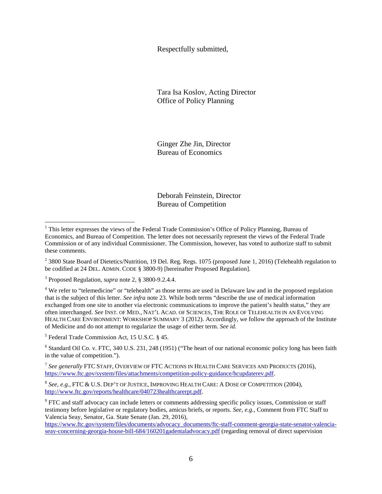Respectfully submitted,

Tara Isa Koslov, Acting Director Office of Policy Planning

Ginger Zhe Jin, Director Bureau of Economics

Deborah Feinstein, Director Bureau of Competition

<span id="page-5-3"></span><sup>4</sup> We refer to "telemedicine" or "telehealth" as those terms are used in Delaware law and in the proposed regulation that is the subject of this letter. *See infra* not[e 23.](#page-2-0) While both terms "describe the use of medical information exchanged from one site to another via electronic communications to improve the patient's health status," they are often interchanged. *See* INST. OF MED., NAT'L ACAD. OF SCIENCES, THE ROLE OF TELEHEALTH IN AN EVOLVING HEALTH CARE ENVIRONMENT: WORKSHOP SUMMARY 3 (2012). Accordingly, we follow the approach of the Institute of Medicine and do not attempt to regularize the usage of either term. *See id.*

<sup>5</sup> Federal Trade Commission Act, 15 U.S.C. § 45.

<sup>6</sup> Standard Oil Co. v. FTC, 340 U.S. 231, 248 (1951) ("The heart of our national economic policy long has been faith in the value of competition.").

<sup>7</sup> *See generally* FTC STAFF, OVERVIEW OF FTC ACTIONS IN HEALTH CARE SERVICES AND PRODUCTS (2016), [https://www.ftc.gov/system/files/attachments/competition-policy-guidance/hcupdaterev.pdf.](https://www.ftc.gov/system/files/attachments/competition-policy-guidance/hcupdaterev.pdf)

<sup>8</sup> *See, e.g.*, FTC & U.S. DEP'T OF JUSTICE, IMPROVING HEALTH CARE: A DOSE OF COMPETITION (2004), [http://www.ftc.gov/reports/healthcare/040723healthcarerpt.pdf.](http://www.ftc.gov/reports/healthcare/040723healthcarerpt.pdf) 

<sup>9</sup> FTC and staff advocacy can include letters or comments addressing specific policy issues, Commission or staff testimony before legislative or regulatory bodies, amicus briefs, or reports. *See, e.g.*, Comment from FTC Staff to Valencia Seay, Senator, Ga. State Senate (Jan. 29, 2016),

[https://www.ftc.gov/system/files/documents/advocacy\\_documents/ftc-staff-comment-georgia-state-senator-valencia](https://www.ftc.gov/system/files/documents/advocacy_documents/ftc-staff-comment-georgia-state-senator-valencia-seay-concerning-georgia-house-bill-684/160201gadentaladvocacy.pdf)[seay-concerning-georgia-house-bill-684/160201gadentaladvocacy.pdf](https://www.ftc.gov/system/files/documents/advocacy_documents/ftc-staff-comment-georgia-state-senator-valencia-seay-concerning-georgia-house-bill-684/160201gadentaladvocacy.pdf) (regarding removal of direct supervision

<span id="page-5-0"></span> $<sup>1</sup>$  This letter expresses the views of the Federal Trade Commission's Office of Policy Planning, Bureau of</sup> Economics, and Bureau of Competition. The letter does not necessarily represent the views of the Federal Trade Commission or of any individual Commissioner. The Commission, however, has voted to authorize staff to submit these comments.

<span id="page-5-1"></span><sup>&</sup>lt;sup>2</sup> 3800 State Board of Dietetics/Nutrition, 19 Del. Reg. Regs. 1075 (proposed June 1, 2016) (Telehealth regulation to be codified at 24 DEL. ADMIN. CODE § 3800-9) [hereinafter Proposed Regulation].

<span id="page-5-2"></span><sup>3</sup> Proposed Regulation, *supra* note [2,](#page-0-0) § 3800-9.2.4.4.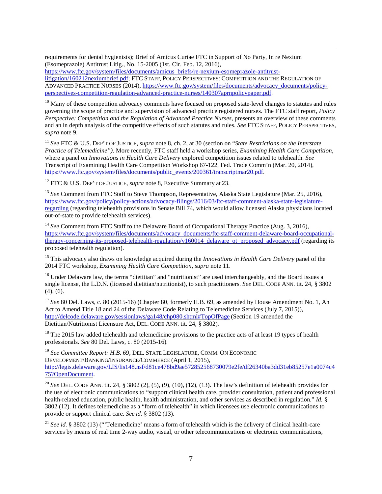requirements for dental hygienists); Brief of Amicus Curiae FTC in Support of No Party, In re Nexium (Esomeprazole) Antitrust Litig., No. 15-2005 (1st. Cir. Feb. 12, 2016),

[https://www.ftc.gov/system/files/documents/amicus\\_briefs/re-nexium-esomeprazole-antitrust](https://www.ftc.gov/system/files/documents/amicus_briefs/re-nexium-esomeprazole-antitrust-litigation/160212nexiumbrief.pdf)[litigation/160212nexiumbrief.pdf;](https://www.ftc.gov/system/files/documents/amicus_briefs/re-nexium-esomeprazole-antitrust-litigation/160212nexiumbrief.pdf) FTC STAFF, POLICY PERSPECTIVES: COMPETITION AND THE REGULATION OF ADVANCED PRACTICE NURSES (2014)[, https://www.ftc.gov/system/files/documents/advocacy\\_documents/policy](https://www.ftc.gov/system/files/documents/advocacy_documents/policy-perspectives-competition-regulation-advanced-practice-nurses/140307aprnpolicypaper.pdf)[perspectives-competition-regulation-advanced-practice-nurses/140307aprnpolicypaper.pdf.](https://www.ftc.gov/system/files/documents/advocacy_documents/policy-perspectives-competition-regulation-advanced-practice-nurses/140307aprnpolicypaper.pdf)

<span id="page-6-5"></span> $10$  Many of these competition advocacy comments have focused on proposed state-level changes to statutes and rules governing the scope of practice and supervision of advanced practice registered nurses. The FTC staff report, *Policy Perspective: Competition and the Regulation of Advanced Practice Nurses*, presents an overview of these comments and an in depth analysis of the competitive effects of such statutes and rules. *See* FTC STAFF, POLICY PERSPECTIVES, *supra* note [9.](#page-1-0)

<span id="page-6-6"></span><sup>11</sup> *See* FTC & U.S. DEP'T OF JUSTICE, *supra* note [8,](#page-1-1) ch. 2, at 30 (section on "*State Restrictions on the Interstate Practice of Telemedicine")*. More recently, FTC staff held a workshop series, *Examining Health Care Competition*, where a panel on *Innovations in Health Care Delivery* explored competition issues related to telehealth. *See* Transcript of Examining Health Care Competition Workshop 67-122, Fed. Trade Comm'n (Mar. 20, 2014), [https://www.ftc.gov/system/files/documents/public\\_events/200361/transcriptmar20.pdf.](https://www.ftc.gov/system/files/documents/public_events/200361/transcriptmar20.pdf)

<span id="page-6-7"></span><sup>12</sup> FTC & U.S. DEP'T OF JUSTICE, *supra* note [8,](#page-1-1) Executive Summary at 23.

<span id="page-6-8"></span><sup>13</sup> *See* Comment from FTC Staff to Steve Thompson, Representative, Alaska State Legislature (Mar. 25, 2016), [https://www.ftc.gov/policy/policy-actions/advocacy-filings/2016/03/ftc-staff-comment-alaska-state-legislature](https://www.ftc.gov/policy/policy-actions/advocacy-filings/2016/03/ftc-staff-comment-alaska-state-legislature-regarding)[regarding](https://www.ftc.gov/policy/policy-actions/advocacy-filings/2016/03/ftc-staff-comment-alaska-state-legislature-regarding) (regarding telehealth provisions in Senate Bill 74, which would allow licensed Alaska physicians located out-of-state to provide telehealth services).

<span id="page-6-9"></span><sup>14</sup> See Comment from FTC Staff to the Delaware Board of Occupational Therapy Practice (Aug. 3, 2016), [https://www.ftc.gov/system/files/documents/advocacy\\_documents/ftc-staff-comment-delaware-board-occupational](https://www.ftc.gov/system/files/documents/advocacy_documents/ftc-staff-comment-delaware-board-occupational-therapy-concerning-its-proposed-telehealth-regulation/v160014_delaware_ot_proposed_advocacy.pdf)[therapy-concerning-its-proposed-telehealth-regulation/v160014\\_delaware\\_ot\\_proposed\\_advocacy.pdf](https://www.ftc.gov/system/files/documents/advocacy_documents/ftc-staff-comment-delaware-board-occupational-therapy-concerning-its-proposed-telehealth-regulation/v160014_delaware_ot_proposed_advocacy.pdf) (regarding its proposed telehealth regulation).

<span id="page-6-10"></span><sup>15</sup> This advocacy also draws on knowledge acquired during the *Innovations in Health Care Delivery* panel of the 2014 FTC workshop, *Examining Health Care Competition*, *supra* note [11.](#page-1-2)

<span id="page-6-11"></span><sup>16</sup> Under Delaware law, the terms "dietitian" and "nutritionist" are used interchangeably, and the Board issues a single license, the L.D.N. (licensed dietitian/nutritionist), to such practitioners. *See* DEL. CODE ANN. tit. 24, § 3802 (4), (6).

<span id="page-6-12"></span><sup>17</sup> See 80 Del. Laws, c. 80 (2015-16) (Chapter 80, formerly H.B. 69, as amended by House Amendment No. 1, An Act to Amend Title 18 and 24 of the Delaware Code Relating to Telemedicine Services (July 7, 2015)), <http://delcode.delaware.gov/sessionlaws/ga148/chp080.shtml#TopOfPage> (Section 19 amended the Dietitian/Nutritionist Licensure Act, DEL. CODE ANN. tit. 24, § 3802)*.*

<span id="page-6-13"></span><span id="page-6-0"></span> $18$  The 2015 law added telehealth and telemedicine provisions to the practice acts of at least 19 types of health professionals. *See* 80 Del. Laws, c. 80 (2015-16)*.*

<span id="page-6-14"></span><span id="page-6-2"></span><span id="page-6-1"></span><sup>19</sup> *See Committee Report: H.B. 69*, DEL. STATE LEGISLATURE, COMM. ON ECONOMIC DEVELOPMENT/BANKING/INSURANCE/COMMERCE (April 1, 2015), [http://legis.delaware.gov/LIS/lis148.nsf/d81ce478bd9ae572852568730079e2fe/df26340ba3dd31eb85257e1a0074c4](http://legis.delaware.gov/LIS/lis148.nsf/d81ce478bd9ae572852568730079e2fe/df26340ba3dd31eb85257e1a0074c475?OpenDocument) [75?OpenDocument.](http://legis.delaware.gov/LIS/lis148.nsf/d81ce478bd9ae572852568730079e2fe/df26340ba3dd31eb85257e1a0074c475?OpenDocument)

<span id="page-6-15"></span><span id="page-6-4"></span><span id="page-6-3"></span><sup>20</sup> *See* DEL. CODE ANN. tit. 24, § 3802 (2), (5), (9), (10), (12), (13). The law's definition of telehealth provides for the use of electronic communications to "support clinical health care, provider consultation, patient and professional health-related education, public health, health administration, and other services as described in regulation." *Id.* § 3802 (12). It defines telemedicine as a "form of telehealth" in which licensees use electronic communications to provide or support clinical care. *See id.* § 3802 (13).

<span id="page-6-16"></span><sup>21</sup> *See id.* § 3802 (13) ("'Telemedicine' means a form of telehealth which is the delivery of clinical health-care services by means of real time 2-way audio, visual, or other telecommunications or electronic communications,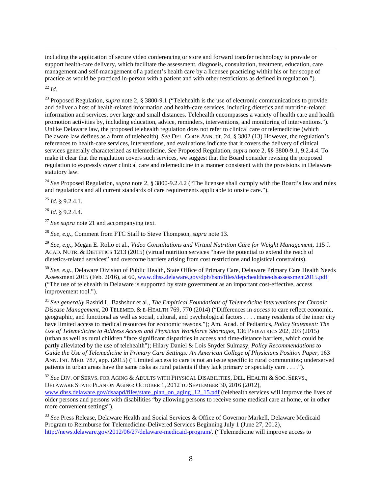including the application of secure video conferencing or store and forward transfer technology to provide or support health-care delivery, which facilitate the assessment, diagnosis, consultation, treatment, education, care management and self-management of a patient's health care by a licensee practicing within his or her scope of practice as would be practiced in-person with a patient and with other restrictions as defined in regulation.").

<span id="page-7-12"></span><span id="page-7-0"></span><sup>22</sup> *Id.*

<span id="page-7-1"></span><sup>23</sup> Proposed Regulation, *supra* not[e 2,](#page-0-0) § 3800-9.1 ("Telehealth is the use of electronic communications to provide and deliver a host of health-related information and health-care services, including dietetics and nutrition-related information and services, over large and small distances. Telehealth encompasses a variety of health care and health promotion activities by, including education, advice, reminders, interventions, and monitoring of interventions."). Unlike Delaware law, the proposed telehealth regulation does not refer to clinical care or telemedicine (which Delaware law defines as a form of telehealth). *See* DEL. CODE ANN. tit. 24, § 3802 (13) However, the regulation's references to health-care services, interventions, and evaluations indicate that it covers the delivery of clinical services generally characterized as telemedicine. *See* Proposed Regulation, *supra* note [2,](#page-0-0) §§ 3800-9.1, 9.2.4.4. To make it clear that the regulation covers such services, we suggest that the Board consider revising the proposed regulation to expressly cover clinical care and telemedicine in a manner consistent with the provisions in Delaware statutory law.

<span id="page-7-2"></span><sup>24</sup> *See* Proposed Regulation, *supra* note [2,](#page-0-0) § 3800-9.2.4.2 ("The licensee shall comply with the Board's law and rules and regulations and all current standards of care requirements applicable to onsite care.").

<span id="page-7-3"></span><sup>25</sup> *Id.* § 9.2.4.1.

<span id="page-7-4"></span><sup>26</sup> *Id.* § 9.2.4.4.

<span id="page-7-5"></span><sup>27</sup> *See supra* note [21](#page-1-3) and accompanying text.

<span id="page-7-6"></span><sup>28</sup> *See, e.g.*, Comment from FTC Staff to Steve Thompson, *supra* not[e 13.](#page-1-4)

<span id="page-7-7"></span><sup>29</sup> *See, e.g.*, Megan E. Rolio et al., *Video Consultations and Virtual Nutrition Care for Weight Management,* 115 J. ACAD. NUTR. & DIETETICS 1213 (2015) (virtual nutrition services "have the potential to extend the reach of dietetics-related services" and overcome barriers arising from cost restrictions and logistical constraints).

<span id="page-7-8"></span><sup>30</sup> *See, e.g.*, Delaware Division of Public Health, State Office of Primary Care, Delaware Primary Care Health Needs Assessment 2015 (Feb. 2016), at 60[, www.dhss.delaware.gov/dph/hsm/files/depchealthneedsassessment2015.pdf](http://www.dhss.delaware.gov/dph/hsm/files/depchealthneedsassessment2015.pdf) ("The use of telehealth in Delaware is supported by state government as an important cost-effective, access improvement tool.").

<span id="page-7-9"></span><sup>31</sup> *See generally* Rashid L. Bashshur et al., *The Empirical Foundations of Telemedicine Interventions for Chronic Disease Management,* 20 TELEMED. & E-HEALTH 769, 770 (2014) ("Differences in *access* to care reflect economic, geographic, and functional as well as social, cultural, and psychological factors . . . . many residents of the inner city have limited access to medical resources for economic reasons."); Am. Acad. of Pediatrics, *Policy Statement: The Use of Telemedicine to Address Access and Physician Workforce Shortages,* 136 PEDIATRICS 202, 203 (2015) (urban as well as rural children "face significant disparities in access and time-distance barriers, which could be partly alleviated by the use of telehealth"); Hilary Daniel & Lois Snyder Sulmasy, *Policy Recommendations to*  Guide the Use of Telemedicine in Primary Care Settings: An American College of Physicians Position Paper, 163 ANN. INT. MED. 787, app. (2015) ("Limited access to care is not an issue specific to rural communities; underserved patients in urban areas have the same risks as rural patients if they lack primary or specialty care . . . .").

<span id="page-7-10"></span><sup>32</sup> *See* DIV. OF SERVS. FOR AGING & ADULTS WITH PHYSICAL DISABILITIES, DEL. HEALTH & SOC. SERVS., DELAWARE STATE PLAN ON AGING: OCTOBER 1, 2012 TO SEPTEMBER 30, 2016 (2012), [www.dhss.delaware.gov/dsaapd/files/state\\_plan\\_on\\_aging\\_12\\_15.pdf](http://www.dhss.delaware.gov/dsaapd/files/state_plan_on_aging_12_15.pdf) (telehealth services will improve the lives of older persons and persons with disabilities "by allowing persons to receive some medical care at home, or in other more convenient settings").

<span id="page-7-11"></span><sup>33</sup> *See* Press Release, Delaware Health and Social Services & Office of Governor Markell, Delaware Medicaid Program to Reimburse for Telemedicine-Delivered Services Beginning July 1 (June 27, 2012), [http://news.delaware.gov/2012/06/27/delaware-medicaid-program/.](http://news.delaware.gov/2012/06/27/delaware-medicaid-program/) ("Telemedicine will improve access to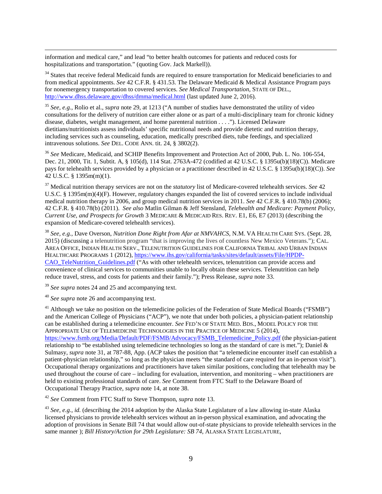information and medical care," and lead "to better health outcomes for patients and reduced costs for hospitalizations and transportation." (quoting Gov. Jack Markell)).

<sup>34</sup> States that receive federal Medicaid funds are required to ensure transportation for Medicaid beneficiaries to and from medical appointments. *See* 42 C.F.R. § 431.53. The Delaware Medicaid & Medical Assistance Program pays for nonemergency transportation to covered services. *See Medical Transportation*, STATE OF DEL., <http://www.dhss.delaware.gov/dhss/dmma/medical.html> (last updated June 2, 2016).

<span id="page-8-9"></span><span id="page-8-0"></span><sup>35</sup> *See, e.g.*, Rolio et al., *supra* note [29,](#page-2-1) at 1213 ("A number of studies have demonstrated the utility of video consultations for the delivery of nutrition care either alone or as part of a multi-disciplinary team for chronic kidney disease, diabetes, weight management, and home parenteral nutrition . . . ."). Licensed Delaware dietitians/nutritionists assess individuals' specific nutritional needs and provide dietetic and nutrition therapy, including services such as counseling, education, medically prescribed diets, tube feedings, and specialized intravenous solutions. *See* DEL. CODE ANN. tit. 24, § 3802(2).

<span id="page-8-1"></span><sup>36</sup> *See* Medicare, Medicaid, and SCHIP Benefits Improvement and Protection Act of 2000, Pub. L. No. 106-554, Dec. 21, 2000, Tit. 1, Subtit. A, § 105(d), 114 Stat. 2763A-472 (codified at 42 U.S.C. § 1395u(b)(18)(C)). Medicare pays for telehealth services provided by a physician or a practitioner described in 42 U.S.C. § 1395u(b)(18)(C)). *See* 42 U.S.C. § 1395m(m)(1).

<span id="page-8-2"></span><sup>37</sup> Medical nutrition therapy services are not on the *statutory* list of Medicare-covered telehealth services. *See* 42 U.S.C. § 1395m(m)(4)(F). However, regulatory changes expanded the list of covered services to include individual medical nutrition therapy in 2006, and group medical nutrition services in 2011. *See* 42 C.F.R. § 410.78(b) (2006); 42 C.F.R. § 410.78(b) (2011). *See also* Matlin Gilman & Jeff Stensland, *Telehealth and Medicare: Payment Policy, Current Use, and Prospects for Growth* 3 MEDICARE & MEDICAID RES. REV. E1, E6, E7 (2013) (describing the expansion of Medicare-covered telehealth services).

<span id="page-8-3"></span><sup>38</sup> *See, e.g.*, Dave Overson, *Nutrition Done Right from Afar at NMVAHCS*, N.M. VA HEALTH CARE SYS. (Sept. 28, 2015) (discussing a telenutrition program "that is improving the lives of countless New Mexico Veterans."); CAL. AREA OFFICE, INDIAN HEALTH SERV., TELENUTRITION GUIDELINES FOR CALIFORNIA TRIBAL AND URBAN INDIAN HEALTHCARE PROGRAMS 1 (2012)[, https://www.ihs.gov/california/tasks/sites/default/assets/File/HPDP-](https://www.ihs.gov/california/tasks/sites/default/assets/File/HPDP-CAO_TeleNutrition_Guidelines.pdf)[CAO\\_TeleNutrition\\_Guidelines.pdf](https://www.ihs.gov/california/tasks/sites/default/assets/File/HPDP-CAO_TeleNutrition_Guidelines.pdf) ("As with other telehealth services, telenutrition can provide access and convenience of clinical services to communities unable to locally obtain these services. Telenutrition can help reduce travel, stress, and costs for patients and their family."); Press Release, *supra* note [33.](#page-2-2)

<span id="page-8-4"></span><sup>39</sup> *See supra* notes [24](#page-2-3) an[d 25](#page-2-4) and accompanying text.

<span id="page-8-5"></span><sup>40</sup> *See supra* note [26](#page-2-5) and accompanying text.

<span id="page-8-6"></span> $^{41}$  Although we take no position on the telemedicine policies of the Federation of State Medical Boards ("FSMB") and the American College of Physicians ("ACP"), we note that under both policies, a physician-patient relationship can be established during a telemedicine encounter. *See* FED'N OF STATE MED. BDS., MODEL POLICY FOR THE APPROPRIATE USE OF TELEMEDICINE TECHNOLOGIES IN THE PRACTICE OF MEDICINE 5 (2014), [https://www.fsmb.org/Media/Default/PDF/FSMB/Advocacy/FSMB\\_Telemedicine\\_Policy.pdf](https://www.fsmb.org/Media/Default/PDF/FSMB/Advocacy/FSMB_Telemedicine_Policy.pdf) (the physician-patient relationship to "be established using telemedicine technologies so long as the standard of care is met."); Daniel & Sulmasy, *supra* note [31,](#page-2-6) at 787-88, App. (ACP takes the position that "a telemedicine encounter itself can establish a patient-physician relationship," so long as the physician meets "the standard of care required for an in-person visit"). Occupational therapy organizations and practitioners have taken similar positions, concluding that telehealth may be used throughout the course of care – including for evaluation, intervention, and monitoring – when practitioners are held to existing professional standards of care. *See* Comment from FTC Staff to the Delaware Board of Occupational Therapy Practice, *supra* note [14,](#page-1-5) at note 38.

<span id="page-8-7"></span><sup>42</sup> *See* Comment from FTC Staff to Steve Thompson, *supra* note [13.](#page-1-4)

<span id="page-8-8"></span><sup>43</sup> *See, e.g.*, *id.* (describing the 2014 adoption by the Alaska State Legislature of a law allowing in-state Alaska licensed physicians to provide telehealth services without an in-person physical examination, and advocating the adoption of provisions in Senate Bill 74 that would allow out-of-state physicians to provide telehealth services in the same manner ); *Bill History/Action for 29th Legislature: SB 74*, ALASKA STATE LEGISLATURE,